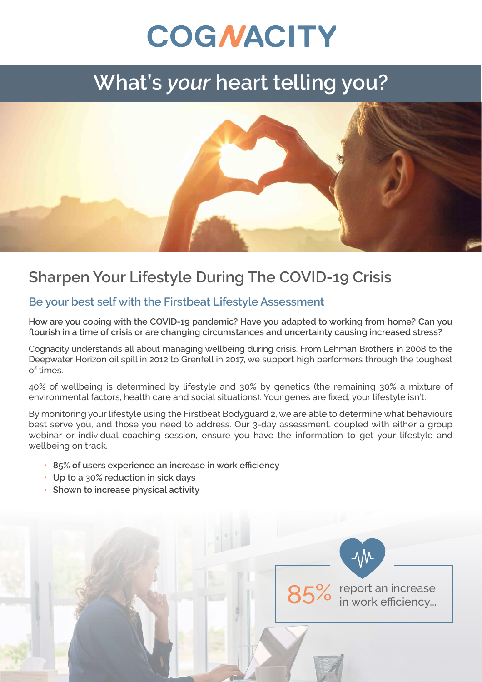# **COGNACITY**

## **What's** *your* **heart telling you?**



### **Sharpen Your Lifestyle During The COVID-19 Crisis**

#### **Be your best self with the Firstbeat Lifestyle Assessment**

**How are you coping with the COVID-19 pandemic? Have you adapted to working from home? Can you flourish in a time of crisis or are changing circumstances and uncertainty causing increased stress?**

Cognacity understands all about managing wellbeing during crisis. From Lehman Brothers in 2008 to the Deepwater Horizon oil spill in 2012 to Grenfell in 2017, we support high performers through the toughest of times.

40% of wellbeing is determined by lifestyle and 30% by genetics (the remaining 30% a mixture of environmental factors, health care and social situations). Your genes are fixed, your lifestyle isn't.

By monitoring your lifestyle using the Firstbeat Bodyguard 2, we are able to determine what behaviours best serve you, and those you need to address. Our 3-day assessment, coupled with either a group webinar or individual coaching session, ensure you have the information to get your lifestyle and wellbeing on track.

- **• 85% of users experience an increase in work efficiency**
- **• Up to a 30% reduction in sick days**
- **• Shown to increase physical activity**